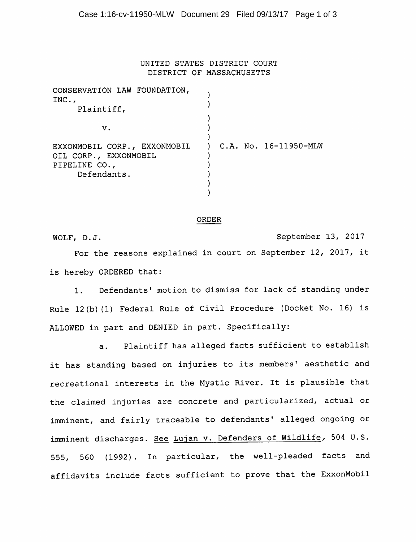## UNITED STATES DISTRICT COURT DISTRICT OF MASSACHUSETTS

| CONSERVATION LAW FOUNDATION,<br>INC., |                           |
|---------------------------------------|---------------------------|
| Plaintiff,                            |                           |
|                                       |                           |
| v.                                    |                           |
|                                       |                           |
| EXXONMOBIL CORP., EXXONMOBIL          | $C.A.$ No. $16-11950-MLW$ |
| OIL CORP., EXXONMOBIL                 |                           |
| PIPELINE CO.,                         |                           |
| Defendants.                           |                           |
|                                       |                           |
|                                       |                           |

## ORDER

WOLF, D.J. September 13, 2017 For the reasons explained in court on September 12, 2017, it is hereby ORDERED that:

1. Defendants' motion to dismiss for lack of standing under

Rule 12(b)(1) Federal Rule of Civil Procedure (Docket No. 16) is ALLOWED in part and DENIED in part. Specifically:

a. Plaintiff has alleged facts sufficient to establish it has standing based on injuries to its members' aesthetic and recreational interests in the Mystic River. It is plausible that the claimed injuries are concrete and particularized, actual or imminent, and fairly traceable to defendants' alleged ongoing or imminent discharges. See Lujan v. Defenders of Wildlife, 504 U.S. 555, 560 (1992). In particular, the well-pleaded facts and affidavits include facts sufficient to prove that the ExxonMobil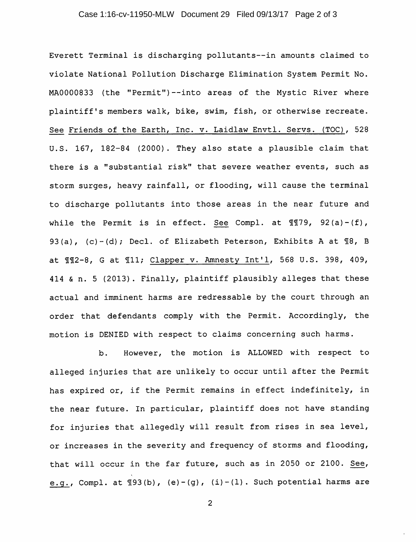## Case 1:16-cv-11950-MLW Document 29 Filed 09/13/17 Page 2 of 3

Everett Terminal is discharging pollutants—in amounts claimed to violate National Pollution Discharge Elimination System Permit No. MA0000833 (the "Permit")--into areas of the Mystic River where plaintiff's members walk, bike, swim, fish, or otherwise recreate. See Friends of the Earth, Inc. v. Laidlaw Envtl. Servs. (TOC), 528 U.S. 167, 182-84 (2000). They also state a plausible claim that there is a "substantial risk" that severe weather events, such as storm surges, heavy rainfall, or flooding, will cause the terminal to discharge pollutants into those areas in the near future and while the Permit is in effect. See Compl. at  $\P$ T79, 92(a)-(f), 93(a), (c)-(d); Decl. of Elizabeth Peterson, Exhibits A at  $\mathbb{I}8$ , B at  $\text{\#12-8, G at }\text{\#11; Clapper v. Amnesty Int'l, 568 U.S. 398, 409, }$ 414 & n. 5 (2013). Finally, plaintiff plausibly alleges that these actual and imminent harms are redressable by the court through an order that defendants comply with the Permit. Accordingly, the motion is DENIED with respect to claims concerning such harms.

b. However, the motion is ALLOWED with respect to alleged injuries that are unlikely to occur until after the Permit has expired or, if the Permit remains in effect indefinitely, in the near future. In particular, plaintiff does not have standing for injuries that allegedly will result from rises in sea level, or increases in the severity and frequency of storms and flooding, that will occur in the far future, such as in 2050 or 2100. See, e.g., Compl. at  $193(b)$ , (e)-(g), (i)-(l). Such potential harms are

 $\overline{c}$